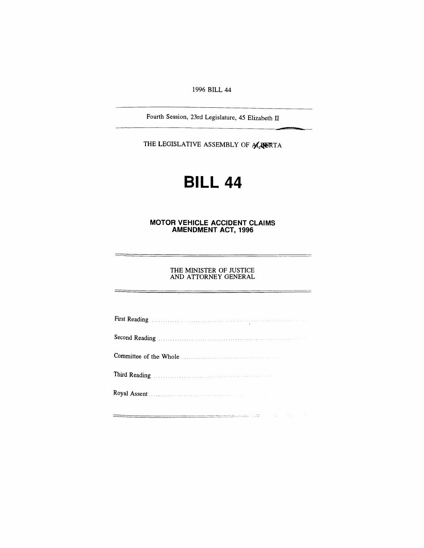*1996 BILL 44*

*Fourth Session, 23rd Legislature, 45 Elizabeth II*

*THE LEGISLATIVE ASSEMBLY OF ALBERTA*

# *BILL 44*

*MOTOR VEHICLE ACCIDENT CLAIMS AMENDMENT ACT, 1996*

#### *THE MINISTER OF JUSTICE AND ATTORNEY GENERAL*

| Third Reading Manual Communication of the Reading Communication of the Reading Communication of the Reading Communication of the Reading Communication of the Reading Communication of the Reading Communication of the Readin      |
|-------------------------------------------------------------------------------------------------------------------------------------------------------------------------------------------------------------------------------------|
| Royal Assent <b>Election</b> Construction of the Construction of the Construction of the Construction of the Construction of the Construction of the Construction of the Construction of the Construction of the Construction of th |
|                                                                                                                                                                                                                                     |

 $\equiv$ 

<u> 1989 - Andrej Marie Alemania, matematika politika (h. 19</u>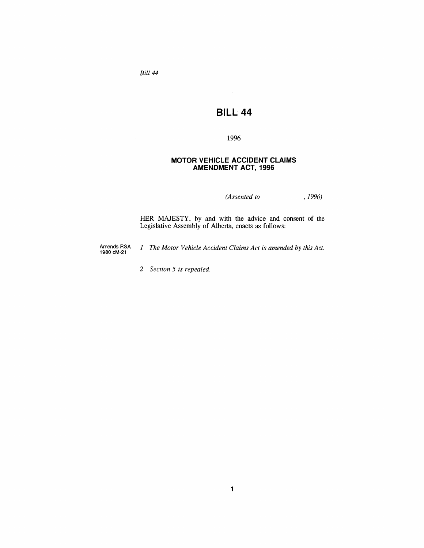*Bill 44*

# *BILL 44*

 $\frac{1}{2}$ 

## *1996*

# *MOTOR VEHICLE ACCIDENT CLAIMS AMENDMENT ACT, 1996*

*(Assented to , 1996)*

*HER MAJESTY, by and with the advice and consent of the Legislative Assembly of Alberta, enacts as follows:*

*Amends RSA 1980 cM-21*

*1 The Motor Vehicle Accident Claims Act is amended by this Act.*

*2 Section 5 is repealed.*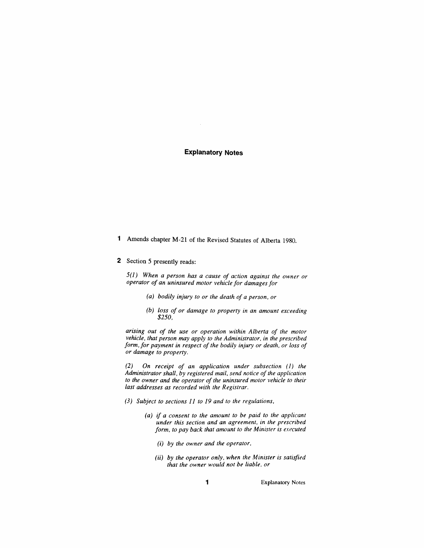# *Explanatory Notes*

- *<sup>1</sup> Amends chapter M-21 of the Revised Statutes of Alberta 1980.*
- *2 Section 5 presently reads:*

*5(1) When a person has a cause of action against the owner or operator of an uninsured motor vehicle for damagesfor*

- *(a) bodily injury to or the death of a person, or*
- *(b) loss of or damage to property in an amount exceeding \$250,*

*arising out of the use or operation within Alberta of the motor vehicle, that person may apply to the Administrator, in the prescribed form, for payment in respect of the bodily injury or death, or loss of or damage to property.*

*(2) On receipt of an application under subsection (1) the Administrator shall, by registered mail, send notice ofthe application to the owner and the operator of the uninsured motor vehicle to their last addresses as recorded with the Registrar.*

- *(3) Subject to sections 11 to 19 and to the regulations,*
	- *(a) if a consent to the amount to be paid to the applicant under this section and an agreement, in the prescribed form, to pay back that amount to the Minister is executed*
		- *(i) by the owner and the operator,*
		- *(ii) by the operator only, when the Minister is satisfied that the owner would not be liable, or*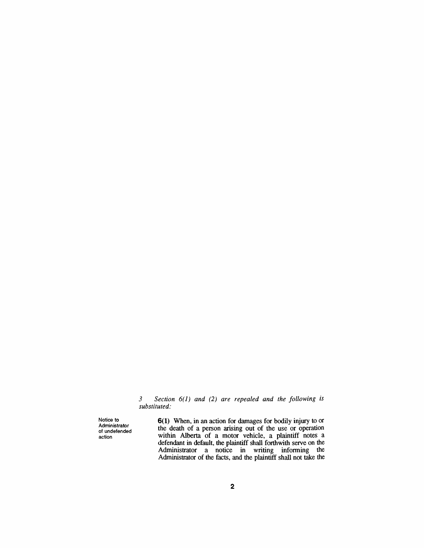*3 Section 6(1) and (2) are repealed and the following is substituted:*

*Notice to Administrator of undefended action*

*6(1) When, in an action for damages for bodily injury to or the death of a person arising out of the use or operation within Alberta of a motor vehicle, a plaintiff notes a defendant in default, the plaintiff shall forthwith serve on the Administrator a notice in writing informing the Administrator of the facts, and the plaintiff shall not take the*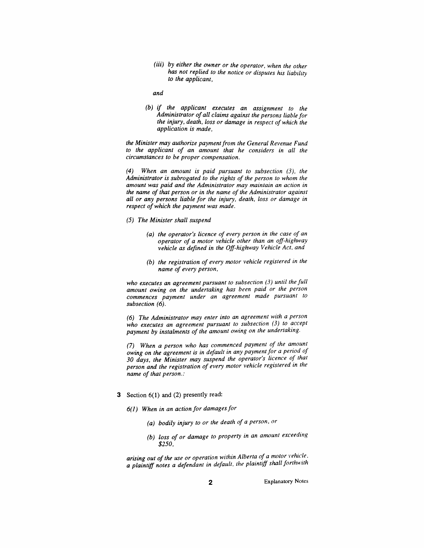*(iii) by either the owner or the operator, when the other has not replied to the notice or disputes his liability to the applicant,*

*and*

*(b) if the applicant executes an assignment to the Administrator ofall claims against the persons liable for the injury, death, loss or damage in respect ofwhich the application is made,*

*the Minister may authorize paymentfrom the General Revenue Fund to the applicant of an amount that he considers in all the circumstances to be proper compensation.*

*(4) When an amount is paid pursuant to subsection (3), the Administrator is subrogated to the rights of the person to whom the amount was paid and the Administrator may maintain an action in the name of that person or in the name of the Administrator against all or any persons liable for the injury, death, loss or damage in respect ofwhich the payment was made.*

- *(5) The Minister shall suspend*
	- *(a) the operator's licence of every person in the case of an operator of a motor vehicle other than an off-highway vehicle as defined in the Off-highway Vehicle Act, and*
	- *(b) the registration of every motor vehicle registered in the name of every person,*

*who executes an agreement pursuant to subsection (3) until the full amount owing on the undertaking has been paid or the person commences payment under an agreement made pursuant to subsection (6).*

*(6) The Administrator may enter into an agreement with a person who executes an agreement pursuant to subsection (3) to accept payment by instalments of the amount owing on the undertaking.*

*(7) When a person who has commenced payment of the amount owing on the agreement is in default in any paymentfor a period of 30 days, the Minister may suspend the operator's licence of that person and the registration of every motor vehicle registered in the name of that person.*

## *3 Section 6(1) and (2) presently read:*

*6(1) When in an action for damagesfor*

- *(a) bodily injury to or the death of a person, or*
- *(b) loss of or damage to property in an amount exceeding \$250,*

*arising out ofthe use or operation within Alberta of a motor vehicle, a plaintiff notes a defendant in default, the plaintiff shall forthwith*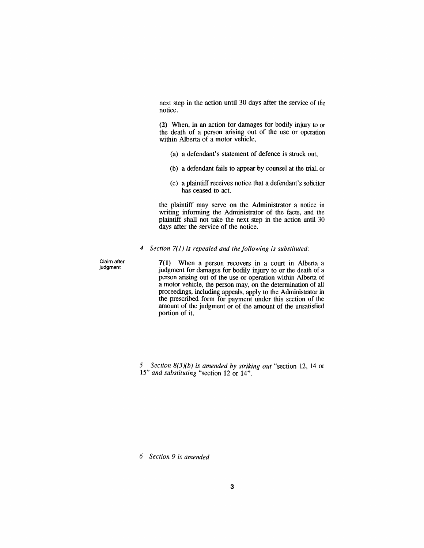*next step in the action until 30 days after the service of the notice.*

*(2) When, in an action for damages for bodily injury to or the death of a person arising out of the use or operation within Alberta of a motor vehicle,*

- *(a) a defendant's statement of defence is struck out,*
- *(b) a defendant fails to appear by counsel at the trial, or*
- *(c) a plaintiff receives notice that a defendant's solicitor has ceased to act,*

*the plaintiff may serve on the Administrator a notice in writing informing the Administrator of the facts, and the plaintiff shall not take the next step in the action until 30 days after the service of the notice.*

#### *4 Section 7(1) is repealed and the following is substituted:*

*Claim after judgment*

*7(1) When a person recovers in a court in Alberta a judgment for damages for bodily injury to or the death of a person arising out of the use or operation within Alberta of a motor vehicle, the person may, on the determination of all proceedings, including appeals, apply to the Administrator in the prescribed form for payment under this section of the amount of the judgment or of the amount of the unsatisfied portion of it.*

*5 Section 8(3)(b) is amended by striking out "section 12, 14 or 15" and substituting "section 12 or 14".*

*6 Section 9 is amended*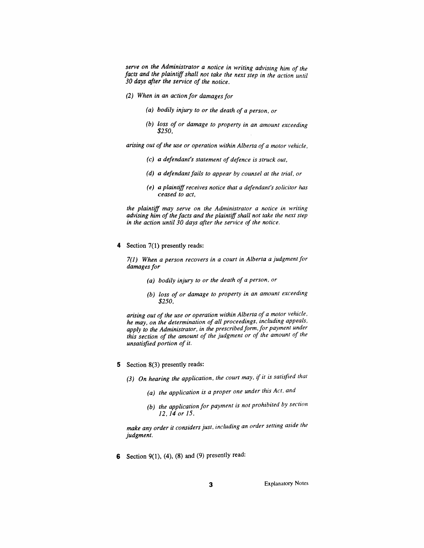*serve on the Administrator a notice in writing advising him of the facts and the plaintiffshall not take the next step in the action until 30 days after the service of the notice.*

- *(2) When in an action for damagesfor*
	- *(a) bodily injury to or the death of a person, or*
	- *(b) loss of or damage to property in an amount exceeding \$250,*

*arising out ofthe use or operation within Alberta ofa motor vehicle,*

- *(c) a defendant's statement of defence is struck out,*
- *(d) a defendantfails to appear by counsel at the trial, or*
- *(e) a plaintiff receives notice that a defendant's solicitor has ceased to act,*

*the plaintiff may serve on the Administrator a notice in writing advising him ofthe facts and the plaintiffshall not take the next step in the action until 30 days after the service of the notice.*

*4 Section 7(1) presently reads:*

*7(1) When a person recovers in a court in Alberta a judgmentfor damagesfor*

- *(a) bodily injury to or the death of a person, or*
- *(b) loss of or damage to property in an amount exceeding \$250,*

*arising out ofthe use or operation within Alberta of a motor vehicle, he may, on the determination of all proceedings, including appeals, apply to the Administrator, in the prescribedform,for payment under this section of the amount of the judgment or of the amount of the unsatisfied portion ofit.*

- *5 Section 8(3) presently reads:*
	- *(3) On hearing the application, the court may, if it is satisfied that*
		- *(a) the application is a proper one under this Act, and*
		- *(b) the application for payment is not prohibited by section 12,14 or 15,*

*make any order it considersjust, including an order setting aside the judgment.*

*6 Section 9(1), (4), (8) and (9) presently read:*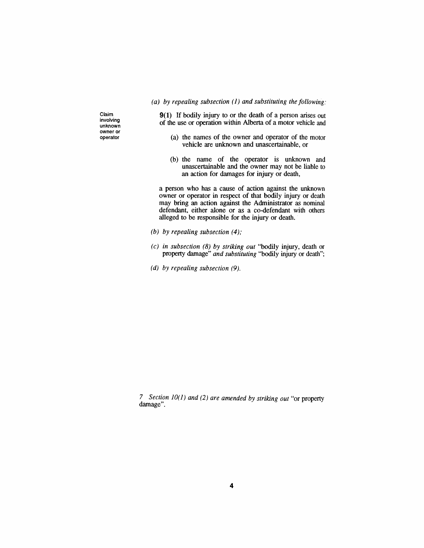## *(a) by repealing subsection (1) and substituting the following:*

*Claim involving unknown owner or operator*

*9(1) If bodily injury to or the death of a person arises out of the use or operation within Alberta of a motor vehicle and*

- *(a) the names of the owner and operator of the motor vehicle are unknown and unascertainable, or*
- *(b) the name of the operator is unknown and unascertainable and the owner may not be liable to an action for damages for injury or death,*

*a person who has a cause of action against the unknown owner or operator in respect of that bodily injury or death may bring an action against the Administrator as nominal defendant, either alone or as a co-defendant with others alleged to be responsible for the injury or death.*

- *(b) by repealing subsection (4);*
- *(c) in subsection (8) by striking out "bodily injury, death or property damage" and substituting "bodily injury or death";*
- *(d) by repealing subsection (9).*

*7 Section 10(1) and (2) are amended by striking out "or property damage".*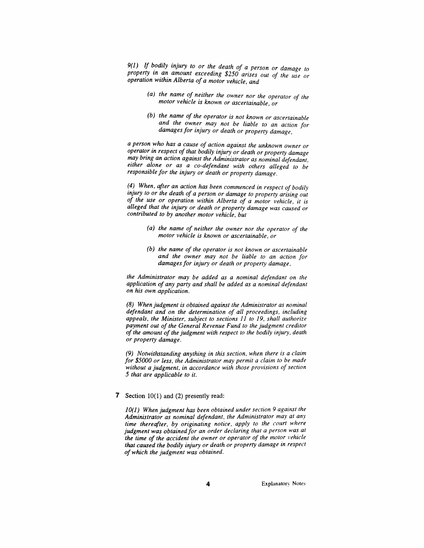*9(1) If bodily injury to or the death of a person or damage to property in an amount exceeding \$250 arises out of the use or operation within Alberta of a motor vehicle, and*

- *(a) the name of neither the owner nor the operator of the motor vehicle is known or ascertainable, or*
- *(b) the name of the operator is not known or ascertainable and the owner may not be liable to an action for damagesfor injury or death or property damage,*

*a person who has a cause of action against the unknown owner or operator in respect ofthat bodily injury or death or property damage may bring an action against the Administrator as nominal defendant, either alone or as a co-defendant with others alleged to be responsible for the injury or death or property damage.*

*(4) When, after an action has been commenced in respect of bodily injury to or the death of a person or damage to property arising out of the use or operation within Alberta of a motor vehicle, it is alleged that the injury or death or property damage was caused or contributed to by another motor vehicle, but*

- *(a) the name of neither the owner nor the operator of the motor vehicle is known or ascertainable, or*
- *(b) the name of the operator is not known or ascertainable and the owner may not be liable to an action for damagesfor injury or death or property damage,*

*the Administrator may be added as a nominal defendant on the application of any party and shall be added as a nominal defendant on his own application.*

*(8) When judgment is obtained against the Administrator as nominal defendant and on the determination of all proceedings, including appeals, the Minister, subject to sections 11 to 19, shall authorize payment out of the General Revenue Fund to the judgment creditor of the amount ofthe judgment with respect to the bodily injury, death or property damage.*

*(9) Notwithstanding anything in this section, when there is a claim for \$5000 or less, the Administrator may permit a claim to be made without a judgment, in accordance with those provisions ofsection 5 that are applicable to it.*

*7 Section 10(1) and (2) presently read:*

*10(1) When judgment has been obtained under section 9 against the Administrator as nominal defendant, the Administrator may at any time thereafter, by originating notice, apply to the court where judgment was obtainedfor an order declaring that a person was at the time of the accident the owner or operator of the motor vehicle that caused the bodily injury or death or property damage in respect ofwhich the judgment was obtained.*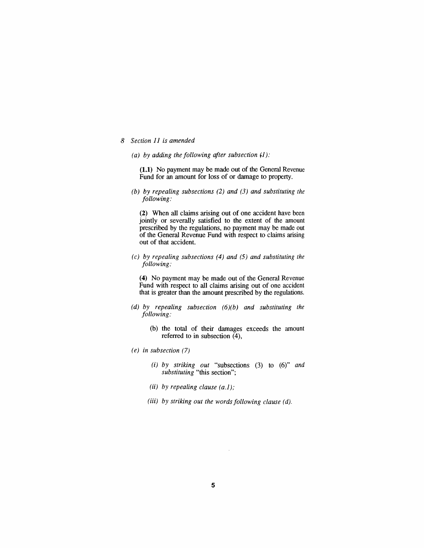#### *8 Section 11 is amended*

*(a) by adding the following after subsection (1):*

*(1.1) No payment may be made out of the General Revenue Fund for an amount for loss of or damage to property.*

*(b) by repealing subsections (2) and (3) and substituting the following:*

*(2) When all claims arising out of one accident have been jointly or severally satisfied to the extent of the amount prescribed by the regulations, no payment may be made out of the General Revenue Fund with respect to claims arising out of that accident.*

*(c) by repealing subsections (4) and (5) and substituting the following:*

*(4) No payment may be made out of the General Revenue Fund with respect to all claims arising out of one accident that is greater than the amount prescribed by the regulations.*

- *(d) by repealing subsection (6)(b) and substituting the following:*
	- *(b) the total of their damages exceeds the amount referred to in subsection (4),*
- *(e) in subsection (7)*
	- *(i) by striking out "subsections (3) to (6)" and substituting "this section";*
	- *(ii) by repealing clause (a.1);*
	- *(iii) by striking out the wordsfollowing clause (d).*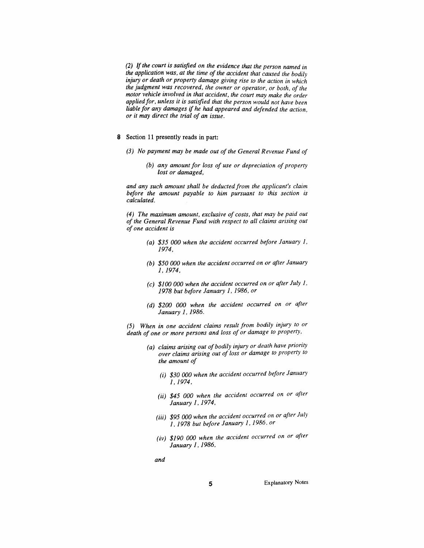*(2) Ifthe court is satisfied on the evidence that the person named in the application was, at the time ofthe accident that caused the bodily injury or death or property damage giving rise to the action in which the judgment was recovered, the owner or operator, or both, of the motor vehicle involved in that accident, the court may make the order appliedfor, unless it is satisfied that the person would not have been liable for any damages if he had appeared and defended the action, or it may direct the trial of an issue.*

- *8 Section 11 presently reads in part:*
	- *(3) No payment may be made out of the General Revenue Fund of*
		- *(b) any amountfor loss of use or depreciation of property lost or damaged,*

*and any such amount shall be deducted from the applicant's claim before the amount payable to him pursuant to this section is calculated.*

*(4) The maximum amount, exclusive of costs, that may be paid out of the General Revenue Fund with respect to all claims arising out of one accident is*

- *(a) \$35 000 when the accident occurred before January 1, 1974,*
- *(b) \$50 000 when the accident occurred on or after January 1,1974,*
- *(c) \$100 000 when the accident occurred on or after July 1, <sup>1978</sup> but before January 1,1986, or*
- *(d) \$200 000 when the accident occurred on or after January 1, 1986.*

*(5) When in one accident claims result from bodily injury to or death of one or more persons and loss of or damage to property,*

- *(a) claims arising out ofbodily injury or death have priority over claims arising out of loss or damage to property to the amount of*
	- *(i) \$30 000 when the accident occurred before January 1,1974,*
	- *(ii) \$45 000 when the accident occurred on or after January 1,1974,*
	- *(iii) \$95 000 when the accident occurred on or after July 1,<sup>1978</sup> but before January 1,1986. or*
	- *(iv) \$190 000 when the accident occurred on or after January 1,1986,*

*and*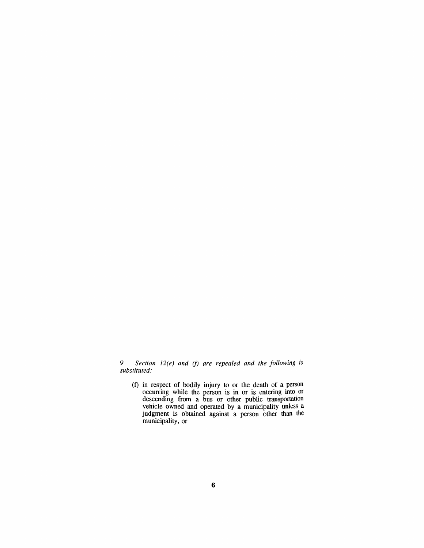*9 Section 12(e) and (f) are repealed and the following is substituted:*

*(f) in respect of bodily injury to or the death of a person occurring while the person is in or is entering into or descending from a bus or other public transportation vehicle owned and operated by a municipality unless a judgment is obtained against a person other than the municipality, or*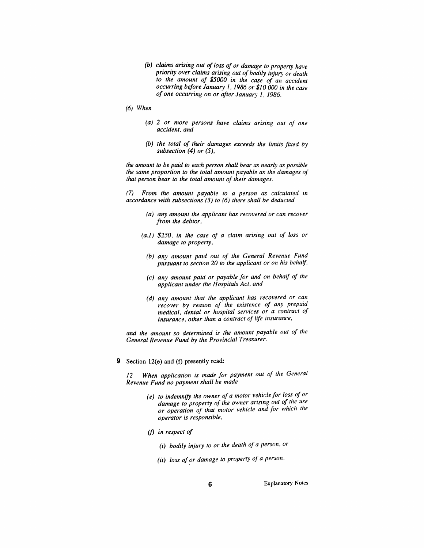- *(b) claims arising out ofloss of or damage to property have priority over claims arising out of bodily injury or death to the amount of \$5000 in the case of an accident occurring before January 1,<sup>1986</sup> or \$10 <sup>000</sup> in the case of one occurring on or after January 1, 1986.*
- *(6) When*
	- *(a) 2 or more persons have claims arising out of one accident, and*
	- *(b) the total of their damages exceeds the limits fixed by subsection (4) or (5),*

*the amount to be paid to each person shall bear as nearly as possible the same proportion to the total amount payable as the damages of that person bear to the total amount of their damages.*

*(7) From the amount payable to a person as calculated in accordance with subsections (3) to (6) there shall be deducted*

- *(a) any amount the applicant has recovered or can recover from the debtor,*
- *(a.1) \$250, in the case of a claim arising out of loss or damage to property,*
- *(b) any amount paid out of the General Revenue Fund pursuant to section 20 to the applicant or on his behalf,*
- *(c) any amount paid or payable for and on behalf of the applicant under the Hospitals Act, and*
- *(d) any amount that the applicant has recovered or can recover by reason of the existence of any prepaid medical, dental or hospital services or a contract of insurance, other than a contract of life insurance,*

*and the amount so determined is the amount payable out of the General Revenue Fund by the Provincial Treasurer.*

*9 Section 12(e) and (f) presently read:*

*12 When application is made for payment out of the General Revenue Fund no payment shall be made*

- *(e) to indemnify the owner of a motor vehicle for loss of or damage to property of the owner arising out of the use or operation of that motor vehicle and for which the operator is responsible,*
- *(f) in respect of*
	- *(i) bodily injury to or the death of a person, or*
	- *(ii) loss of or damage to property of a person,*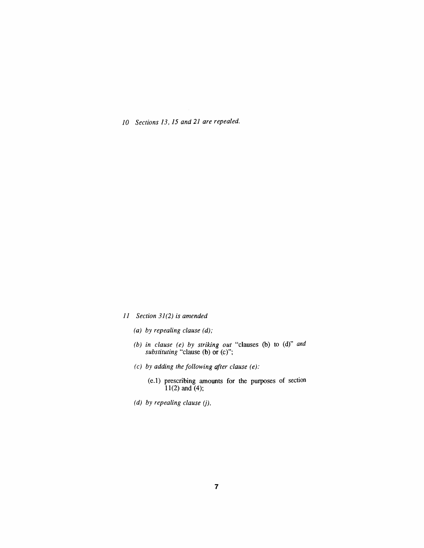*10 Sections 13,15 and 21 are repealed.*

- *11 Section 31(2) is amended*
	- *(a) by repealing clause (d);*
	- *(b) in clause (e) by striking out "clauses (b) to (d)" and substituting "clause (b) or (c)";*
	- *(c) by adding the following after clause (e):*
		- *(e.1) prescribing amounts for the purposes of section 11(2) and (4);*
	- *(d) by repealing clause (j).*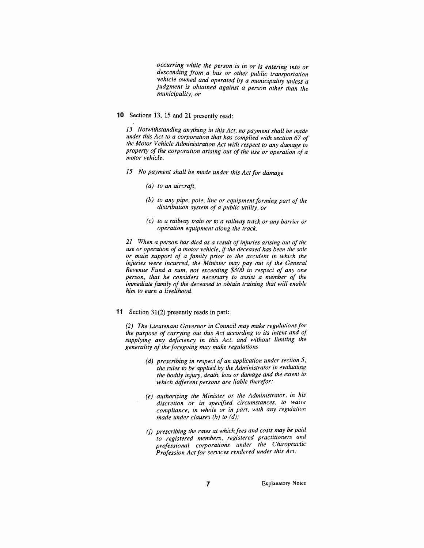*occurring while the person is in or is entering into or descending from a bus or other public transportation vehicle owned and operated by a municipality unless a judgment is obtained against a person other than the municipality, or*

#### *10 Sections 13, 15 and 21 presently read:*

*13 Notwithstanding anything in this Act, no payment shall be made under this Act to a corporation that has complied with section 67 of the Motor Vehicle Administration Act with respect to any damage to property of the corporation arising out of the use or operation of a motor vehicle.*

- *15 No payment shall be made under this Actfor damage*
	- *(a) to an aircraft,*
	- *(b) to any pipe, pole, line or equipmentforming part of the distribution system of a public utility, or*
	- *(c) to a railway train or to a railway track or any barrier or operation equipment along the track.*

*21 When a person has died as a result ofinjuries arising out of the use or operation of a motor vehicle, ifthe deceased has been the sole or main support of a family prior to the accident in which the injuries were incurred, the Minister may pay out of the General Revenue Fund a sum, not exceeding \$300 in respect of any one person, that he considers necessary to assist a member of the immediate family of the deceased to obtain training that will enable him to earn a livelihood.*

#### *11 Section 31(2) presently reads in part:*

*(2) The Lieutenant Governor in Council may make regulationsfor the purpose of carrying out this Act according to its intent and of supplying any deficiency in this Act, and without limiting the generality ofthe foregoing may make regulations*

- *(d) prescribing in respect of an application under section 5, the rules to be applied by the Administrator in evaluating the bodily injury, death, loss or damage and the extent to which different persons are liable therefor:*
- *(e) authorizing the Minister or the Administrator, in his discretion or in specified circumstances, to waive compliance, in whole or in part, with any regulation made under clauses (b) to (d);*
- *(j) prescribing the rates at which fees and costs may be paid to registered members, registered practitioners and professional corporations under the Chiropractic Profession Actfor services rendered under this Act;*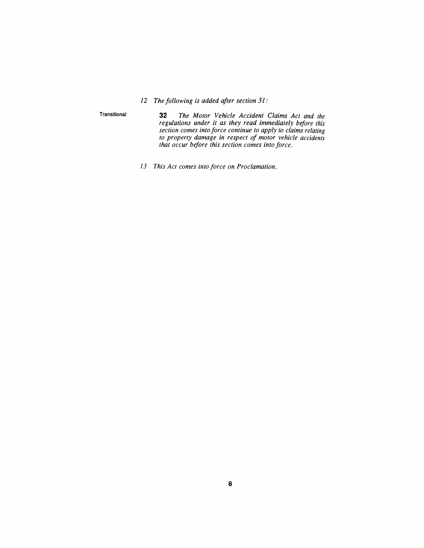*12 The following is added after section 31:*

*Transitional 32 The Motor Vehicle Accident Claims Act and the regulations under it as they read immediately before this section comes intoforce continue to apply to claims relating to property damage in respect of motor vehicle accidents that occur before this section comes into force.*

*13 This Act comes into force on Proclamation.*